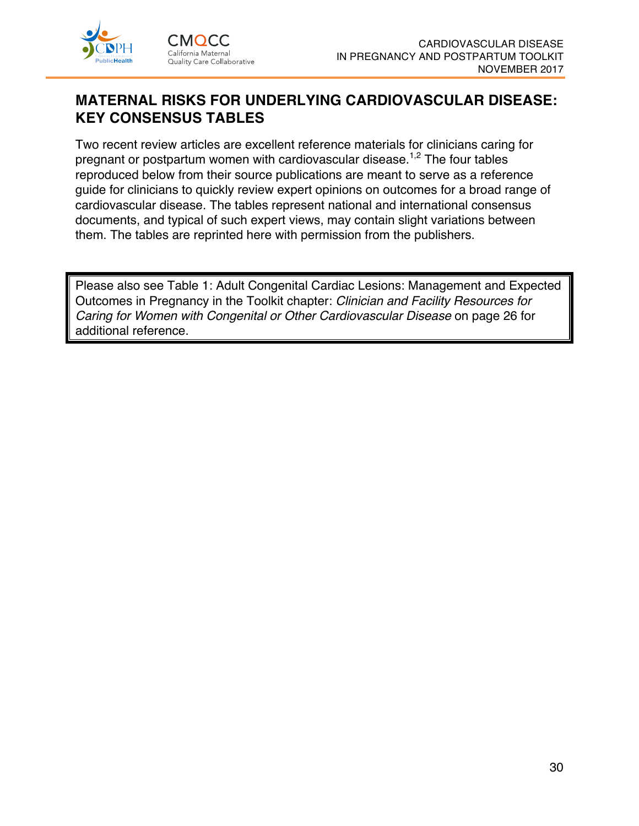

# **MATERNAL RISKS FOR UNDERLYING CARDIOVASCULAR DISEASE: KEY CONSENSUS TABLES**

Two recent review articles are excellent reference materials for clinicians caring for pregnant or postpartum women with cardiovascular disease.<sup>1,2</sup> The four tables reproduced below from their source publications are meant to serve as a reference guide for clinicians to quickly review expert opinions on outcomes for a broad range of cardiovascular disease. The tables represent national and international consensus documents, and typical of such expert views, may contain slight variations between them. The tables are reprinted here with permission from the publishers.

Please also see Table 1: Adult Congenital Cardiac Lesions: Management and Expected Outcomes in Pregnancy in the Toolkit chapter: *Clinician and Facility Resources for Caring for Women with Congenital or Other Cardiovascular Disease* on page 26 for additional reference.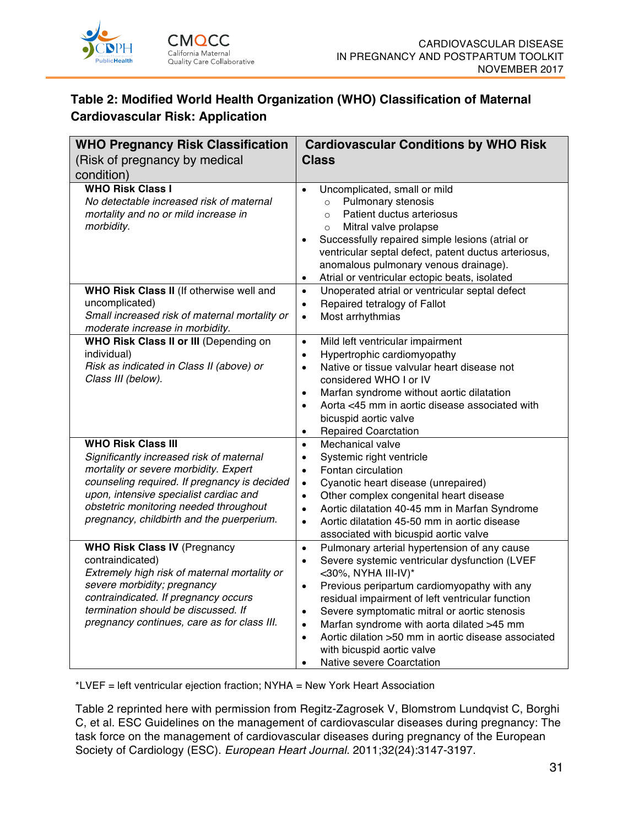

## **Table 2: Modified World Health Organization (WHO) Classification of Maternal Cardiovascular Risk: Application**

| <b>WHO Pregnancy Risk Classification</b>                                    | <b>Cardiovascular Conditions by WHO Risk</b>                     |  |  |  |
|-----------------------------------------------------------------------------|------------------------------------------------------------------|--|--|--|
| (Risk of pregnancy by medical                                               | <b>Class</b>                                                     |  |  |  |
| condition)                                                                  |                                                                  |  |  |  |
| <b>WHO Risk Class I</b>                                                     | Uncomplicated, small or mild<br>$\bullet$                        |  |  |  |
| No detectable increased risk of maternal                                    | Pulmonary stenosis<br>$\circ$                                    |  |  |  |
| mortality and no or mild increase in                                        | Patient ductus arteriosus<br>$\Omega$                            |  |  |  |
| morbidity.                                                                  | Mitral valve prolapse<br>$\circ$                                 |  |  |  |
|                                                                             | Successfully repaired simple lesions (atrial or<br>$\bullet$     |  |  |  |
|                                                                             | ventricular septal defect, patent ductus arteriosus,             |  |  |  |
|                                                                             | anomalous pulmonary venous drainage).                            |  |  |  |
|                                                                             | Atrial or ventricular ectopic beats, isolated<br>$\bullet$       |  |  |  |
| WHO Risk Class II (If otherwise well and                                    | Unoperated atrial or ventricular septal defect<br>$\bullet$      |  |  |  |
| uncomplicated)                                                              | Repaired tetralogy of Fallot<br>$\bullet$                        |  |  |  |
| Small increased risk of maternal mortality or                               | Most arrhythmias<br>$\bullet$                                    |  |  |  |
| moderate increase in morbidity.                                             |                                                                  |  |  |  |
| WHO Risk Class II or III (Depending on                                      | Mild left ventricular impairment<br>$\bullet$                    |  |  |  |
| individual)                                                                 | Hypertrophic cardiomyopathy<br>$\bullet$                         |  |  |  |
| Risk as indicated in Class II (above) or                                    | Native or tissue valvular heart disease not<br>$\bullet$         |  |  |  |
| Class III (below).                                                          | considered WHO I or IV                                           |  |  |  |
|                                                                             | Marfan syndrome without aortic dilatation<br>$\bullet$           |  |  |  |
|                                                                             | Aorta <45 mm in aortic disease associated with<br>$\bullet$      |  |  |  |
|                                                                             | bicuspid aortic valve                                            |  |  |  |
|                                                                             | <b>Repaired Coarctation</b><br>$\bullet$                         |  |  |  |
| <b>WHO Risk Class III</b>                                                   | Mechanical valve<br>$\bullet$                                    |  |  |  |
| Significantly increased risk of maternal                                    | Systemic right ventricle<br>$\bullet$                            |  |  |  |
| mortality or severe morbidity. Expert                                       | Fontan circulation<br>$\bullet$                                  |  |  |  |
| counseling required. If pregnancy is decided                                | Cyanotic heart disease (unrepaired)<br>$\bullet$                 |  |  |  |
| upon, intensive specialist cardiac and                                      | Other complex congenital heart disease<br>$\bullet$              |  |  |  |
| obstetric monitoring needed throughout                                      | Aortic dilatation 40-45 mm in Marfan Syndrome<br>$\bullet$       |  |  |  |
| pregnancy, childbirth and the puerperium.                                   | Aortic dilatation 45-50 mm in aortic disease<br>$\bullet$        |  |  |  |
|                                                                             | associated with bicuspid aortic valve                            |  |  |  |
| <b>WHO Risk Class IV (Pregnancy</b>                                         | Pulmonary arterial hypertension of any cause<br>$\bullet$        |  |  |  |
| contraindicated)                                                            | Severe systemic ventricular dysfunction (LVEF<br>$\bullet$       |  |  |  |
| Extremely high risk of maternal mortality or                                | <30%, NYHA III-IV)*                                              |  |  |  |
| severe morbidity; pregnancy                                                 | Previous peripartum cardiomyopathy with any<br>$\bullet$         |  |  |  |
| contraindicated. If pregnancy occurs<br>termination should be discussed. If | residual impairment of left ventricular function                 |  |  |  |
| pregnancy continues, care as for class III.                                 | Severe symptomatic mitral or aortic stenosis<br>$\bullet$        |  |  |  |
|                                                                             | Marfan syndrome with aorta dilated >45 mm<br>$\bullet$           |  |  |  |
|                                                                             | Aortic dilation >50 mm in aortic disease associated<br>$\bullet$ |  |  |  |
|                                                                             | with bicuspid aortic valve                                       |  |  |  |
|                                                                             | Native severe Coarctation<br>$\bullet$                           |  |  |  |

\*LVEF = left ventricular ejection fraction; NYHA = New York Heart Association

Table 2 reprinted here with permission from Regitz-Zagrosek V, Blomstrom Lundqvist C, Borghi C, et al. ESC Guidelines on the management of cardiovascular diseases during pregnancy: The task force on the management of cardiovascular diseases during pregnancy of the European Society of Cardiology (ESC). *European Heart Journal.* 2011;32(24):3147-3197.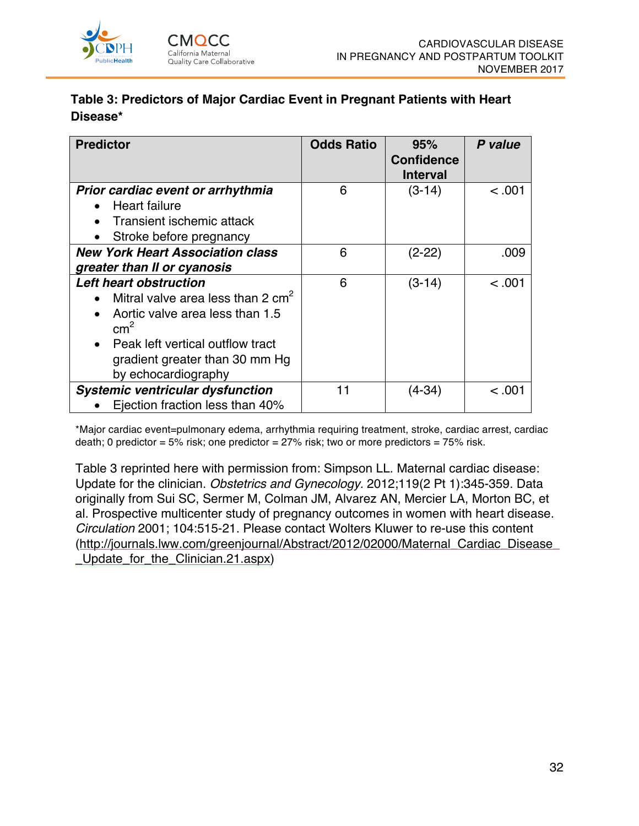

### **Table 3: Predictors of Major Cardiac Event in Pregnant Patients with Heart Disease\***

| <b>Predictor</b>                                                                                                                                                                                                                                                 | <b>Odds Ratio</b> | 95%<br><b>Confidence</b><br><b>Interval</b> | P value |
|------------------------------------------------------------------------------------------------------------------------------------------------------------------------------------------------------------------------------------------------------------------|-------------------|---------------------------------------------|---------|
| Prior cardiac event or arrhythmia<br>Heart failure                                                                                                                                                                                                               | 6                 | $(3-14)$                                    | < 0.001 |
| Transient ischemic attack<br>Stroke before pregnancy<br>$\bullet$                                                                                                                                                                                                |                   |                                             |         |
| <b>New York Heart Association class</b><br>greater than II or cyanosis                                                                                                                                                                                           | 6                 | $(2-22)$                                    | .009    |
| Left heart obstruction<br>Mitral valve area less than $2 \text{ cm}^2$<br>$\bullet$<br>Aortic valve area less than 1.5<br>$\bullet$<br>cm <sup>2</sup><br>Peak left vertical outflow tract<br>$\bullet$<br>gradient greater than 30 mm Hg<br>by echocardiography | 6                 | (3-14)                                      | < 0.001 |
| <b>Systemic ventricular dysfunction</b><br>Ejection fraction less than 40%                                                                                                                                                                                       | 11                | (4-34)                                      | < 0.001 |

\*Major cardiac event=pulmonary edema, arrhythmia requiring treatment, stroke, cardiac arrest, cardiac death; 0 predictor =  $5\%$  risk; one predictor =  $27\%$  risk; two or more predictors =  $75\%$  risk.

Table 3 reprinted here with permission from: Simpson LL. Maternal cardiac disease: Update for the clinician. *Obstetrics and Gynecology.* 2012;119(2 Pt 1):345-359. Data originally from Sui SC, Sermer M, Colman JM, Alvarez AN, Mercier LA, Morton BC, et al. Prospective multicenter study of pregnancy outcomes in women with heart disease. *Circulation* 2001; 104:515-21. Please contact Wolters Kluwer to re-use this content (http://journals.lww.com/greenjournal/Abstract/2012/02000/Maternal\_Cardiac\_Disease\_ Update for the Clinician.21.aspx)